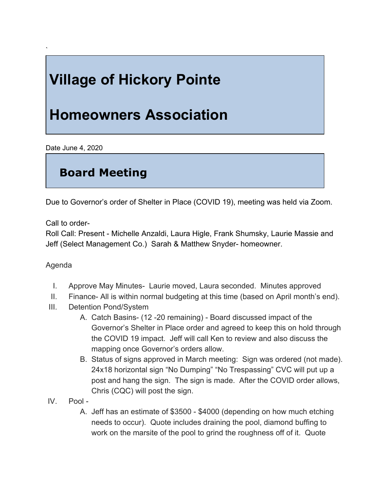# **Village of Hickory Pointe**

## **Homeowners Association**

Date June 4, 2020

`

### **Board Meeting**

Due to Governor's order of Shelter in Place (COVID 19), meeting was held via Zoom.

Call to order-

Roll Call: Present - Michelle Anzaldi, Laura Higle, Frank Shumsky, Laurie Massie and Jeff (Select Management Co.) Sarah & Matthew Snyder- homeowner.

#### Agenda

- I. Approve May Minutes- Laurie moved, Laura seconded. Minutes approved
- II. Finance- All is within normal budgeting at this time (based on April month's end).
- III. Detention Pond/System
	- A. Catch Basins- (12 -20 remaining) Board discussed impact of the Governor's Shelter in Place order and agreed to keep this on hold through the COVID 19 impact. Jeff will call Ken to review and also discuss the mapping once Governor's orders allow.
	- B. Status of signs approved in March meeting: Sign was ordered (not made). 24x18 horizontal sign "No Dumping" "No Trespassing" CVC will put up a post and hang the sign. The sign is made. After the COVID order allows, Chris (CQC) will post the sign.
- IV. Pool
	- A. Jeff has an estimate of \$3500 \$4000 (depending on how much etching needs to occur). Quote includes draining the pool, diamond buffing to work on the marsite of the pool to grind the roughness off of it. Quote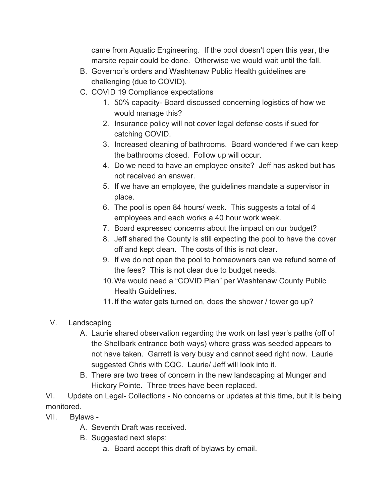came from Aquatic Engineering. If the pool doesn't open this year, the marsite repair could be done. Otherwise we would wait until the fall.

- B. Governor's orders and Washtenaw Public Health guidelines are challenging (due to COVID).
- C. COVID 19 Compliance expectations
	- 1. 50% capacity- Board discussed concerning logistics of how we would manage this?
	- 2. Insurance policy will not cover legal defense costs if sued for catching COVID.
	- 3. Increased cleaning of bathrooms. Board wondered if we can keep the bathrooms closed. Follow up will occur.
	- 4. Do we need to have an employee onsite? Jeff has asked but has not received an answer.
	- 5. If we have an employee, the guidelines mandate a supervisor in place.
	- 6. The pool is open 84 hours/ week. This suggests a total of 4 employees and each works a 40 hour work week.
	- 7. Board expressed concerns about the impact on our budget?
	- 8. Jeff shared the County is still expecting the pool to have the cover off and kept clean. The costs of this is not clear.
	- 9. If we do not open the pool to homeowners can we refund some of the fees? This is not clear due to budget needs.
	- 10.We would need a "COVID Plan" per Washtenaw County Public Health Guidelines.
	- 11.If the water gets turned on, does the shower / tower go up?
- V. Landscaping
	- A. Laurie shared observation regarding the work on last year's paths (off of the Shellbark entrance both ways) where grass was seeded appears to not have taken. Garrett is very busy and cannot seed right now. Laurie suggested Chris with CQC. Laurie/ Jeff will look into it.
	- B. There are two trees of concern in the new landscaping at Munger and Hickory Pointe. Three trees have been replaced.

VI. Update on Legal- Collections - No concerns or updates at this time, but it is being monitored.

- VII. Bylaws
	- A. Seventh Draft was received.
	- B. Suggested next steps:
		- a. Board accept this draft of bylaws by email.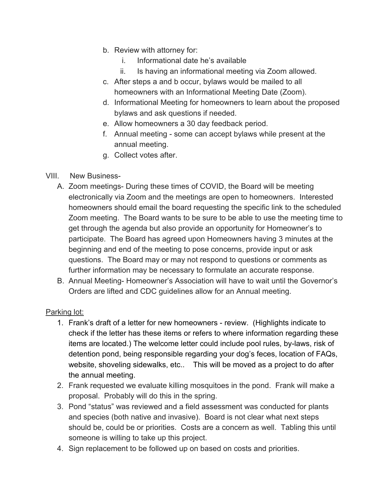- b. Review with attorney for:
	- i. Informational date he's available
	- ii. Is having an informational meeting via Zoom allowed.
- c. After steps a and b occur, bylaws would be mailed to all homeowners with an Informational Meeting Date (Zoom).
- d. Informational Meeting for homeowners to learn about the proposed bylaws and ask questions if needed.
- e. Allow homeowners a 30 day feedback period.
- f. Annual meeting some can accept bylaws while present at the annual meeting.
- g. Collect votes after.

#### VIII. New Business-

- A. Zoom meetings- During these times of COVID, the Board will be meeting electronically via Zoom and the meetings are open to homeowners. Interested homeowners should email the board requesting the specific link to the scheduled Zoom meeting. The Board wants to be sure to be able to use the meeting time to get through the agenda but also provide an opportunity for Homeowner's to participate. The Board has agreed upon Homeowners having 3 minutes at the beginning and end of the meeting to pose concerns, provide input or ask questions. The Board may or may not respond to questions or comments as further information may be necessary to formulate an accurate response.
- B. Annual Meeting- Homeowner's Association will have to wait until the Governor's Orders are lifted and CDC guidelines allow for an Annual meeting.

#### Parking lot:

- 1. Frank's draft of a letter for new homeowners review. (Highlights indicate to check if the letter has these items or refers to where information regarding these items are located.) The welcome letter could include pool rules, by-laws, risk of detention pond, being responsible regarding your dog's feces, location of FAQs, website, shoveling sidewalks, etc.. This will be moved as a project to do after the annual meeting.
- 2. Frank requested we evaluate killing mosquitoes in the pond. Frank will make a proposal. Probably will do this in the spring.
- 3. Pond "status" was reviewed and a field assessment was conducted for plants and species (both native and invasive). Board is not clear what next steps should be, could be or priorities. Costs are a concern as well. Tabling this until someone is willing to take up this project.
- 4. Sign replacement to be followed up on based on costs and priorities.